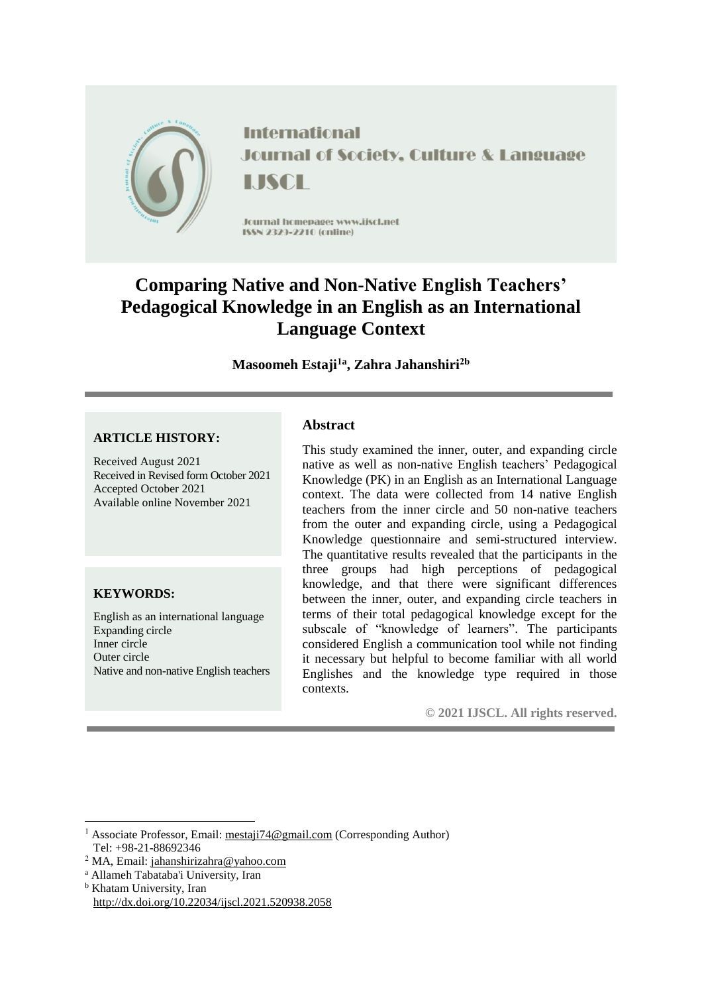

**International Journal of Society, Culture & Language** LISCH

Jcurnal homepage: www.ijscl.net **ISSN 2323-2210 (cnline)** 

# **Comparing Native and Non-Native English Teachers' Pedagogical Knowledge in an English as an International Language Context**

**Masoomeh Estaji1a , Zahra Jahanshiri2b**

## **ARTICLE HISTORY:**

Received August 2021 Received in Revised form October 2021 Accepted October 2021 Available online November 2021

## **KEYWORDS:**

English as an international language Expanding circle Inner circle Outer circle Native and non-native English teachers

### **Abstract**

This study examined the inner, outer, and expanding circle native as well as non-native English teachers' Pedagogical Knowledge (PK) in an English as an International Language context. The data were collected from 14 native English teachers from the inner circle and 50 non-native teachers from the outer and expanding circle, using a Pedagogical Knowledge questionnaire and semi-structured interview. The quantitative results revealed that the participants in the three groups had high perceptions of pedagogical knowledge, and that there were significant differences between the inner, outer, and expanding circle teachers in terms of their total pedagogical knowledge except for the subscale of "knowledge of learners". The participants considered English a communication tool while not finding it necessary but helpful to become familiar with all world Englishes and the knowledge type required in those contexts.

**© 2021 IJSCL. All rights reserved.**

- <sup>a</sup> Allameh Tabataba'i University, Iran
- **b** Khatam University, Iran <http://dx.doi.org/10.22034/ijscl.2021.520938.2058>

 $\overline{a}$ <sup>1</sup> Associate Professor, Email: [mestaji74@gmail.com](mailto:mestaji74@gmail.com) (Corresponding Author) Tel: +98-21-88692346

<sup>2</sup> MA, Email: [jahanshirizahra@yahoo.com](mailto:jahanshirizahra@yahoo.com)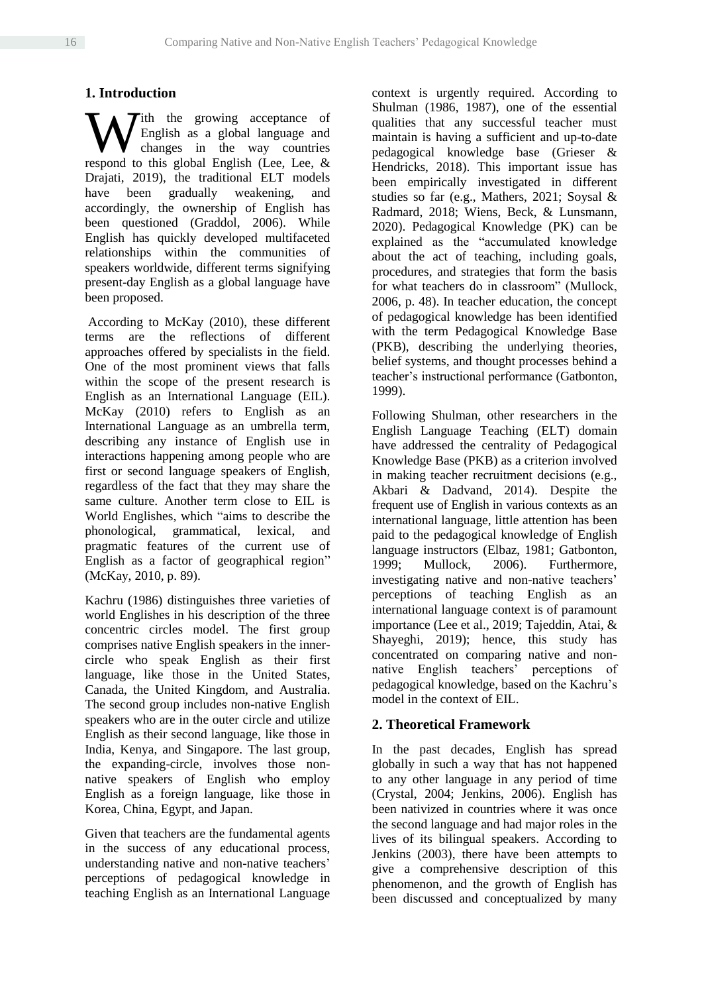# **1. Introduction**

ith the growing acceptance of English as a global language and changes in the way countries We find the growing acceptance of English as a global language and changes in the way countries respond to this global English (Lee, Lee, & Drajati, 2019), the traditional ELT models have been gradually weakening, and accordingly, the ownership of English has been questioned (Graddol, 2006). While English has quickly developed multifaceted relationships within the communities of speakers worldwide, different terms signifying present-day English as a global language have been proposed.

According to McKay (2010), these different terms are the reflections of different approaches offered by specialists in the field. One of the most prominent views that falls within the scope of the present research is English as an International Language (EIL). McKay (2010) refers to English as an International Language as an umbrella term, describing any instance of English use in interactions happening among people who are first or second language speakers of English, regardless of the fact that they may share the same culture. Another term close to EIL is World Englishes, which "aims to describe the phonological, grammatical, lexical, and pragmatic features of the current use of English as a factor of geographical region" (McKay, 2010, p. 89).

Kachru (1986) distinguishes three varieties of world Englishes in his description of the three concentric circles model. The first group comprises native English speakers in the innercircle who speak English as their first language, like those in the United States, Canada, the United Kingdom, and Australia. The second group includes non-native English speakers who are in the outer circle and utilize English as their second language, like those in India, Kenya, and Singapore. The last group, the expanding-circle, involves those nonnative speakers of English who employ English as a foreign language, like those in Korea, China, Egypt, and Japan.

Given that teachers are the fundamental agents in the success of any educational process, understanding native and non-native teachers' perceptions of pedagogical knowledge in teaching English as an International Language

context is urgently required. According to Shulman (1986, 1987), one of the essential qualities that any successful teacher must maintain is having a sufficient and up-to-date pedagogical knowledge base (Grieser & Hendricks, 2018). This important issue has been empirically investigated in different studies so far (e.g., Mathers, 2021; Soysal & Radmard, 2018; Wiens, Beck, & Lunsmann, 2020). Pedagogical Knowledge (PK) can be explained as the "accumulated knowledge about the act of teaching, including goals, procedures, and strategies that form the basis for what teachers do in classroom" (Mullock, 2006, p. 48). In teacher education, the concept of pedagogical knowledge has been identified with the term Pedagogical Knowledge Base (PKB), describing the underlying theories, belief systems, and thought processes behind a teacher's instructional performance (Gatbonton, 1999).

Following Shulman, other researchers in the English Language Teaching (ELT) domain have addressed the centrality of Pedagogical Knowledge Base (PKB) as a criterion involved in making teacher recruitment decisions (e.g., Akbari & Dadvand, 2014). Despite the frequent use of English in various contexts as an international language, little attention has been paid to the pedagogical knowledge of English language instructors (Elbaz, 1981; Gatbonton, 1999; Mullock, 2006). Furthermore, investigating native and non-native teachers' perceptions of teaching English as an international language context is of paramount importance (Lee et al., 2019; Tajeddin, Atai, & Shayeghi, 2019); hence, this study has concentrated on comparing native and nonnative English teachers' perceptions of pedagogical knowledge, based on the Kachru's model in the context of EIL.

## **2. Theoretical Framework**

In the past decades, English has spread globally in such a way that has not happened to any other language in any period of time (Crystal, 2004; Jenkins, 2006). English has been nativized in countries where it was once the second language and had major roles in the lives of its bilingual speakers. According to Jenkins (2003), there have been attempts to give a comprehensive description of this phenomenon, and the growth of English has been discussed and conceptualized by many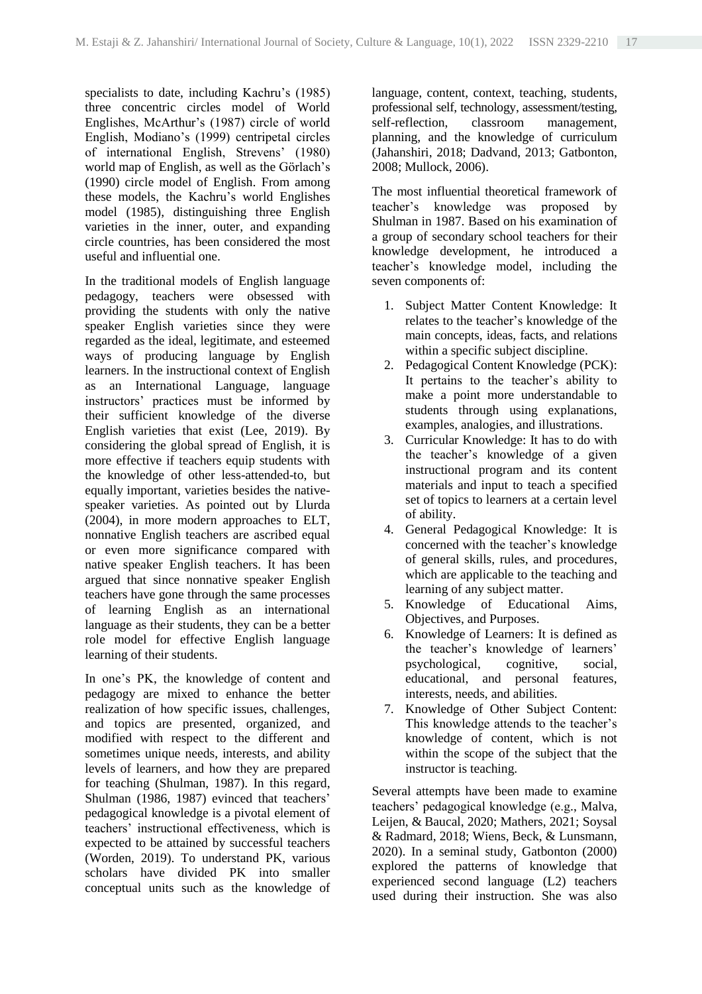specialists to date, including Kachru's (1985) three concentric circles model of World Englishes, McArthur's (1987) circle of world English, Modiano's (1999) centripetal circles of international English, Strevens' (1980) world map of English, as well as the Görlach's (1990) circle model of English. From among these models, the Kachru's world Englishes model (1985), distinguishing three English varieties in the inner, outer, and expanding circle countries, has been considered the most useful and influential one.

In the traditional models of English language pedagogy, teachers were obsessed with providing the students with only the native speaker English varieties since they were regarded as the ideal, legitimate, and esteemed ways of producing language by English learners. In the instructional context of English as an International Language, language instructors' practices must be informed by their sufficient knowledge of the diverse English varieties that exist (Lee, 2019). By considering the global spread of English, it is more effective if teachers equip students with the knowledge of other less-attended-to, but equally important, varieties besides the nativespeaker varieties. As pointed out by Llurda (2004), in more modern approaches to ELT, nonnative English teachers are ascribed equal or even more significance compared with native speaker English teachers. It has been argued that since nonnative speaker English teachers have gone through the same processes of learning English as an international language as their students, they can be a better role model for effective English language learning of their students.

In one's PK, the knowledge of content and pedagogy are mixed to enhance the better realization of how specific issues, challenges, and topics are presented, organized, and modified with respect to the different and sometimes unique needs, interests, and ability levels of learners, and how they are prepared for teaching (Shulman, 1987). In this regard, Shulman (1986, 1987) evinced that teachers' pedagogical knowledge is a pivotal element of teachers' instructional effectiveness, which is expected to be attained by successful teachers (Worden, 2019). To understand PK, various scholars have divided PK into smaller conceptual units such as the knowledge of

language, content, context, teaching, students, professional self, technology, assessment/testing,<br>self-reflection, classroom management. self-reflection, classroom management, planning, and the knowledge of curriculum (Jahanshiri, 2018; Dadvand, 2013; Gatbonton, 2008; Mullock, 2006).

The most influential theoretical framework of teacher's knowledge was proposed by Shulman in 1987. Based on his examination of a group of secondary school teachers for their knowledge development, he introduced a teacher's knowledge model, including the seven components of:

- 1. Subject Matter Content Knowledge: It relates to the teacher's knowledge of the main concepts, ideas, facts, and relations within a specific subject discipline.
- 2. Pedagogical Content Knowledge (PCK): It pertains to the teacher's ability to make a point more understandable to students through using explanations, examples, analogies, and illustrations.
- 3. Curricular Knowledge: It has to do with the teacher's knowledge of a given instructional program and its content materials and input to teach a specified set of topics to learners at a certain level of ability.
- 4. General Pedagogical Knowledge: It is concerned with the teacher's knowledge of general skills, rules, and procedures, which are applicable to the teaching and learning of any subject matter.
- 5. Knowledge of Educational Aims, Objectives, and Purposes.
- 6. Knowledge of Learners: It is defined as the teacher's knowledge of learners' psychological, cognitive, social, educational, and personal features, interests, needs, and abilities.
- 7. Knowledge of Other Subject Content: This knowledge attends to the teacher's knowledge of content, which is not within the scope of the subject that the instructor is teaching.

Several attempts have been made to examine teachers' pedagogical knowledge (e.g., Malva, Leijen, & Baucal, 2020; Mathers, 2021; Soysal & Radmard, 2018; Wiens, Beck, & Lunsmann, 2020). In a seminal study, Gatbonton (2000) explored the patterns of knowledge that experienced second language (L2) teachers used during their instruction. She was also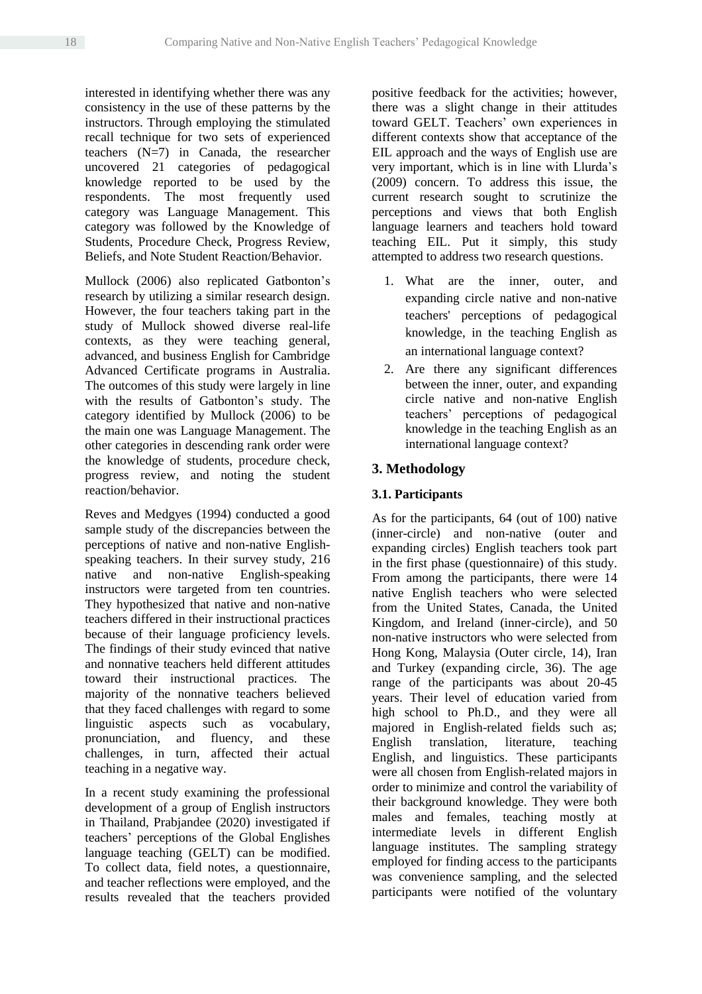interested in identifying whether there was any consistency in the use of these patterns by the instructors. Through employing the stimulated recall technique for two sets of experienced teachers (N=7) in Canada, the researcher uncovered 21 categories of pedagogical knowledge reported to be used by the respondents. The most frequently used category was Language Management. This category was followed by the Knowledge of Students, Procedure Check, Progress Review, Beliefs, and Note Student Reaction/Behavior.

Mullock (2006) also replicated Gatbonton's research by utilizing a similar research design. However, the four teachers taking part in the study of Mullock showed diverse real-life contexts, as they were teaching general, advanced, and business English for Cambridge Advanced Certificate programs in Australia. The outcomes of this study were largely in line with the results of Gatbonton's study. The category identified by Mullock (2006) to be the main one was Language Management. The other categories in descending rank order were the knowledge of students, procedure check, progress review, and noting the student reaction/behavior.

Reves and Medgyes (1994) conducted a good sample study of the discrepancies between the perceptions of native and non-native Englishspeaking teachers. In their survey study, 216 native and non-native English-speaking instructors were targeted from ten countries. They hypothesized that native and non-native teachers differed in their instructional practices because of their language proficiency levels. The findings of their study evinced that native and nonnative teachers held different attitudes toward their instructional practices. The majority of the nonnative teachers believed that they faced challenges with regard to some linguistic aspects such as vocabulary, pronunciation, and fluency, and these challenges, in turn, affected their actual teaching in a negative way.

In a recent study examining the professional development of a group of English instructors in Thailand, Prabjandee (2020) investigated if teachers' perceptions of the Global Englishes language teaching (GELT) can be modified. To collect data, field notes, a questionnaire, and teacher reflections were employed, and the results revealed that the teachers provided positive feedback for the activities; however, there was a slight change in their attitudes toward GELT. Teachers' own experiences in different contexts show that acceptance of the EIL approach and the ways of English use are very important, which is in line with Llurda's (2009) concern. To address this issue, the current research sought to scrutinize the perceptions and views that both English language learners and teachers hold toward teaching EIL. Put it simply, this study attempted to address two research questions.

- 1. What are the inner, outer, and expanding circle native and non-native teachers' perceptions of pedagogical knowledge, in the teaching English as an international language context?
- 2. Are there any significant differences between the inner, outer, and expanding circle native and non-native English teachers' perceptions of pedagogical knowledge in the teaching English as an international language context?

# **3. Methodology**

## **3.1. Participants**

As for the participants, 64 (out of 100) native (inner-circle) and non-native (outer and expanding circles) English teachers took part in the first phase (questionnaire) of this study. From among the participants, there were 14 native English teachers who were selected from the United States, Canada, the United Kingdom, and Ireland (inner-circle), and 50 non-native instructors who were selected from Hong Kong, Malaysia (Outer circle, 14), Iran and Turkey (expanding circle, 36). The age range of the participants was about 20-45 years. Their level of education varied from high school to Ph.D., and they were all majored in English-related fields such as; English translation, literature, teaching English, and linguistics. These participants were all chosen from English-related majors in order to minimize and control the variability of their background knowledge. They were both males and females, teaching mostly at intermediate levels in different English language institutes. The sampling strategy employed for finding access to the participants was convenience sampling, and the selected participants were notified of the voluntary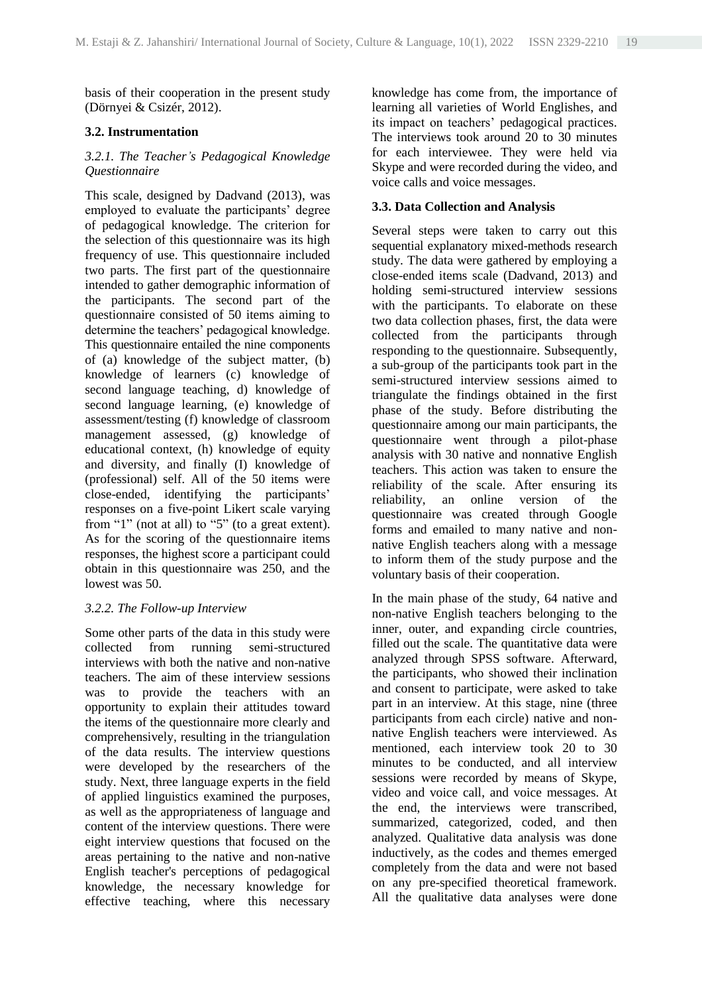basis of their cooperation in the present study (Dörnyei & Csizér, 2012).

### **3.2. Instrumentation**

#### *3.2.1. The Teacher's Pedagogical Knowledge Questionnaire*

This scale, designed by Dadvand (2013), was employed to evaluate the participants' degree of pedagogical knowledge. The criterion for the selection of this questionnaire was its high frequency of use. This questionnaire included two parts. The first part of the questionnaire intended to gather demographic information of the participants. The second part of the questionnaire consisted of 50 items aiming to determine the teachers' pedagogical knowledge. This questionnaire entailed the nine components of (a) knowledge of the subject matter, (b) knowledge of learners (c) knowledge of second language teaching, d) knowledge of second language learning, (e) knowledge of assessment/testing (f) knowledge of classroom management assessed, (g) knowledge of educational context, (h) knowledge of equity and diversity, and finally (I) knowledge of (professional) self. All of the 50 items were close-ended, identifying the participants' responses on a five-point Likert scale varying from "1" (not at all) to "5" (to a great extent). As for the scoring of the questionnaire items responses, the highest score a participant could obtain in this questionnaire was 250, and the lowest was 50.

#### *3.2.2. The Follow-up Interview*

Some other parts of the data in this study were collected from running semi-structured interviews with both the native and non-native teachers. The aim of these interview sessions was to provide the teachers with an opportunity to explain their attitudes toward the items of the questionnaire more clearly and comprehensively, resulting in the triangulation of the data results. The interview questions were developed by the researchers of the study. Next, three language experts in the field of applied linguistics examined the purposes, as well as the appropriateness of language and content of the interview questions. There were eight interview questions that focused on the areas pertaining to the native and non-native English teacher's perceptions of pedagogical knowledge, the necessary knowledge for effective teaching, where this necessary

knowledge has come from, the importance of learning all varieties of World Englishes, and its impact on teachers' pedagogical practices. The interviews took around 20 to 30 minutes for each interviewee. They were held via Skype and were recorded during the video, and voice calls and voice messages.

## **3.3. Data Collection and Analysis**

Several steps were taken to carry out this sequential explanatory mixed-methods research study. The data were gathered by employing a close-ended items scale (Dadvand, 2013) and holding semi-structured interview sessions with the participants. To elaborate on these two data collection phases, first, the data were collected from the participants through responding to the questionnaire. Subsequently, a sub-group of the participants took part in the semi-structured interview sessions aimed to triangulate the findings obtained in the first phase of the study. Before distributing the questionnaire among our main participants, the questionnaire went through a pilot-phase analysis with 30 native and nonnative English teachers. This action was taken to ensure the reliability of the scale. After ensuring its reliability, an online version of the questionnaire was created through Google forms and emailed to many native and nonnative English teachers along with a message to inform them of the study purpose and the voluntary basis of their cooperation.

In the main phase of the study, 64 native and non-native English teachers belonging to the inner, outer, and expanding circle countries, filled out the scale. The quantitative data were analyzed through SPSS software. Afterward, the participants, who showed their inclination and consent to participate, were asked to take part in an interview. At this stage, nine (three participants from each circle) native and nonnative English teachers were interviewed. As mentioned, each interview took 20 to 30 minutes to be conducted, and all interview sessions were recorded by means of Skype, video and voice call, and voice messages. At the end, the interviews were transcribed, summarized, categorized, coded, and then analyzed. Qualitative data analysis was done inductively, as the codes and themes emerged completely from the data and were not based on any pre-specified theoretical framework. All the qualitative data analyses were done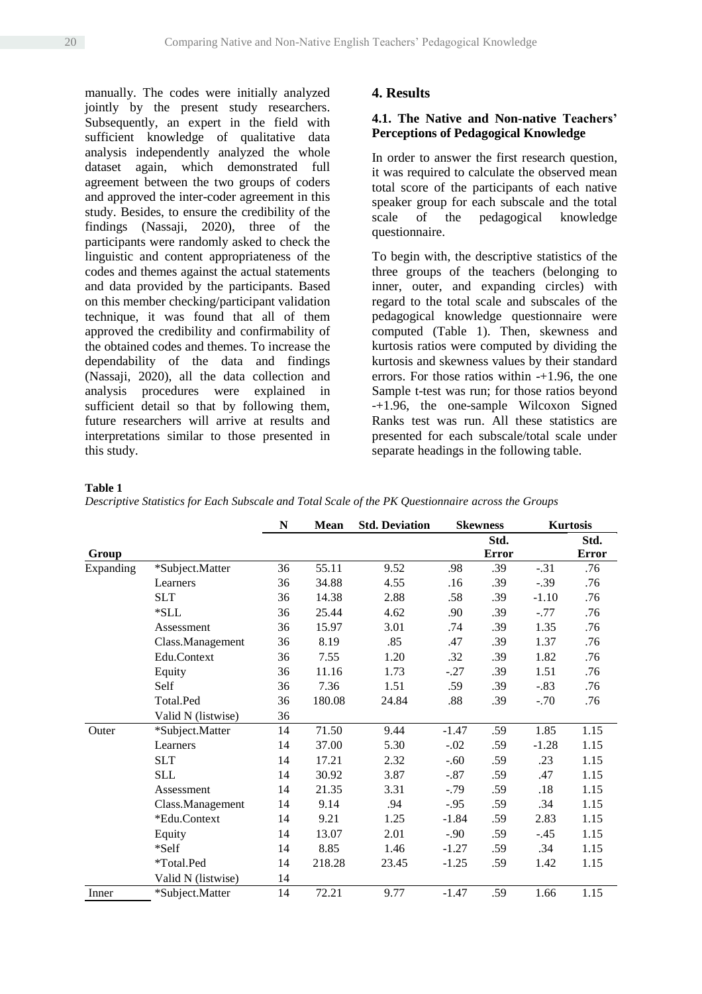manually. The codes were initially analyzed jointly by the present study researchers. Subsequently, an expert in the field with sufficient knowledge of qualitative data analysis independently analyzed the whole dataset again, which demonstrated full agreement between the two groups of coders and approved the inter-coder agreement in this study. Besides, to ensure the credibility of the findings (Nassaji, 2020), three of the participants were randomly asked to check the linguistic and content appropriateness of the codes and themes against the actual statements and data provided by the participants. Based on this member checking/participant validation technique, it was found that all of them approved the credibility and confirmability of the obtained codes and themes. To increase the dependability of the data and findings (Nassaji, 2020), all the data collection and analysis procedures were explained in sufficient detail so that by following them, future researchers will arrive at results and interpretations similar to those presented in this study.

### **4. Results**

#### **4.1. The Native and Non-native Teachers' Perceptions of Pedagogical Knowledge**

In order to answer the first research question, it was required to calculate the observed mean total score of the participants of each native speaker group for each subscale and the total<br>scale of the pedagogical knowledge scale of the pedagogical knowledge questionnaire.

To begin with, the descriptive statistics of the three groups of the teachers (belonging to inner, outer, and expanding circles) with regard to the total scale and subscales of the pedagogical knowledge questionnaire were computed (Table 1). Then, skewness and kurtosis ratios were computed by dividing the kurtosis and skewness values by their standard errors. For those ratios within -+1.96, the one Sample t-test was run; for those ratios beyond -+1.96, the one-sample Wilcoxon Signed Ranks test was run. All these statistics are presented for each subscale/total scale under separate headings in the following table.

#### **Table 1**

*Descriptive Statistics for Each Subscale and Total Scale of the PK Questionnaire across the Groups*

|           |                    | N  | <b>Mean</b> | <b>Std. Deviation</b> |         | <b>Skewness</b> |         | <b>Kurtosis</b> |
|-----------|--------------------|----|-------------|-----------------------|---------|-----------------|---------|-----------------|
|           |                    |    |             |                       |         | Std.            |         | Std.            |
| Group     |                    |    |             |                       |         | <b>Error</b>    |         | Error           |
| Expanding | *Subject.Matter    | 36 | 55.11       | 9.52                  | .98     | .39             | $-.31$  | .76             |
|           | Learners           | 36 | 34.88       | 4.55                  | .16     | .39             | $-.39$  | .76             |
|           | <b>SLT</b>         | 36 | 14.38       | 2.88                  | .58     | .39             | $-1.10$ | .76             |
|           | $*SLL$             | 36 | 25.44       | 4.62                  | .90     | .39             | $-.77$  | .76             |
|           | Assessment         | 36 | 15.97       | 3.01                  | .74     | .39             | 1.35    | .76             |
|           | Class.Management   | 36 | 8.19        | .85                   | .47     | .39             | 1.37    | .76             |
|           | Edu.Context        | 36 | 7.55        | 1.20                  | .32     | .39             | 1.82    | .76             |
|           | Equity             | 36 | 11.16       | 1.73                  | $-.27$  | .39             | 1.51    | .76             |
|           | Self               | 36 | 7.36        | 1.51                  | .59     | .39             | $-.83$  | .76             |
|           | Total.Ped          | 36 | 180.08      | 24.84                 | .88     | .39             | $-.70$  | .76             |
|           | Valid N (listwise) | 36 |             |                       |         |                 |         |                 |
| Outer     | *Subject.Matter    | 14 | 71.50       | 9.44                  | $-1.47$ | .59             | 1.85    | 1.15            |
|           | Learners           | 14 | 37.00       | 5.30                  | $-.02$  | .59             | $-1.28$ | 1.15            |
|           | <b>SLT</b>         | 14 | 17.21       | 2.32                  | $-.60$  | .59             | .23     | 1.15            |
|           | <b>SLL</b>         | 14 | 30.92       | 3.87                  | $-.87$  | .59             | .47     | 1.15            |
|           | Assessment         | 14 | 21.35       | 3.31                  | $-.79$  | .59             | .18     | 1.15            |
|           | Class.Management   | 14 | 9.14        | .94                   | $-.95$  | .59             | .34     | 1.15            |
|           | *Edu.Context       | 14 | 9.21        | 1.25                  | $-1.84$ | .59             | 2.83    | 1.15            |
|           | Equity             | 14 | 13.07       | 2.01                  | $-.90$  | .59             | $-.45$  | 1.15            |
|           | *Self              | 14 | 8.85        | 1.46                  | $-1.27$ | .59             | .34     | 1.15            |
|           | *Total.Ped         | 14 | 218.28      | 23.45                 | $-1.25$ | .59             | 1.42    | 1.15            |
|           | Valid N (listwise) | 14 |             |                       |         |                 |         |                 |
| Inner     | *Subject.Matter    | 14 | 72.21       | 9.77                  | $-1.47$ | .59             | 1.66    | 1.15            |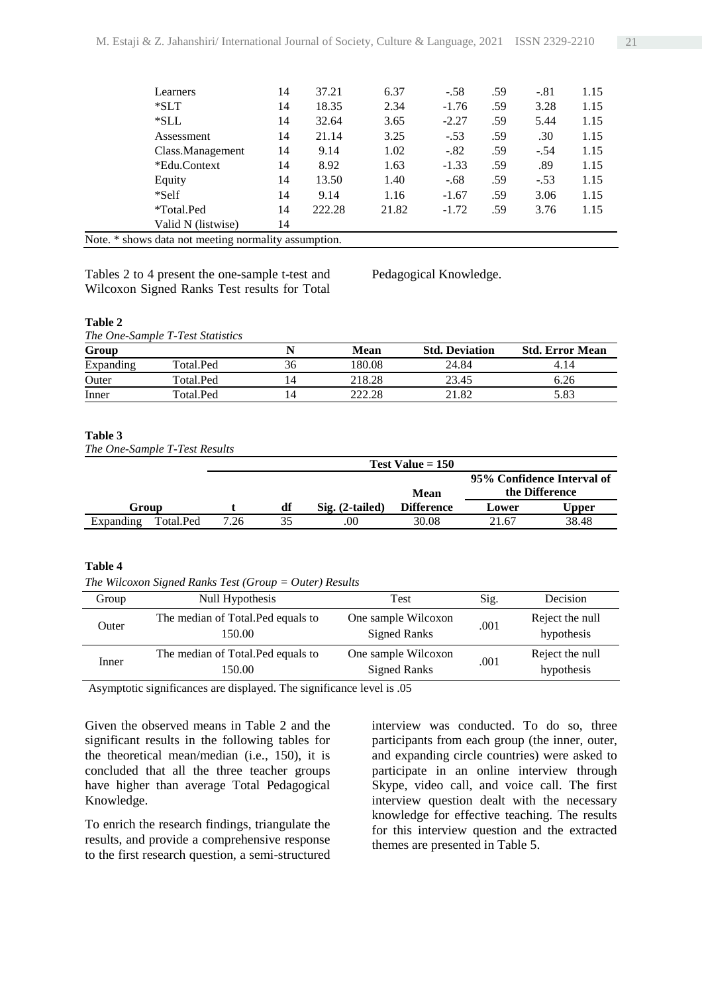| <b>T</b> 1 |                    | $\blacksquare$ | $\cdot$ . |       |         |     |        |      |
|------------|--------------------|----------------|-----------|-------|---------|-----|--------|------|
|            | Valid N (listwise) | 14             |           |       |         |     |        |      |
|            | *Total.Ped         | 14             | 222.28    | 21.82 | $-1.72$ | .59 | 3.76   | 1.15 |
|            | *Self              | 14             | 9.14      | 1.16  | $-1.67$ | .59 | 3.06   | 1.15 |
|            | Equity             | 14             | 13.50     | 1.40  | $-.68$  | .59 | $-.53$ | 1.15 |
|            | *Edu.Context       | 14             | 8.92      | 1.63  | $-1.33$ | .59 | .89    | 1.15 |
|            | Class.Management   | 14             | 9.14      | 1.02  | $-.82$  | .59 | $-.54$ | 1.15 |
|            | Assessment         | 14             | 21.14     | 3.25  | $-.53$  | .59 | .30    | 1.15 |
|            | $*SLL$             | 14             | 32.64     | 3.65  | $-2.27$ | .59 | 5.44   | 1.15 |
|            | $*SLT$             | 14             | 18.35     | 2.34  | $-1.76$ | .59 | 3.28   | 1.15 |
|            | Learners           | 14             | 37.21     | 6.37  | $-.58$  | .59 | $-.81$ | 1.15 |
|            |                    |                |           |       |         |     |        |      |

Note. \* shows data not meeting normality assumption.

Tables 2 to 4 present the one-sample t-test and Wilcoxon Signed Ranks Test results for Total

Pedagogical Knowledge.

#### **Table 2**

*The One-Sample T-Test Statistics* 

| Group     |           |    | Mean   | <b>Std. Deviation</b> | <b>Std. Error Mean</b> |
|-----------|-----------|----|--------|-----------------------|------------------------|
| Expanding | Total.Ped | 36 | 180.08 | 24.84                 | 4.14                   |
| Outer     | Total.Ped |    | 218.28 | 23.45                 | 6.26                   |
| Inner     | Total.Ped |    | 222.28 | .82                   | 5.83                   |

#### **Table 3**

*The One-Sample T-Test Results*

|           |           |      | Test Value $= 150$ |                   |                   |       |                                              |  |  |
|-----------|-----------|------|--------------------|-------------------|-------------------|-------|----------------------------------------------|--|--|
|           |           |      |                    |                   | Mean              |       | 95% Confidence Interval of<br>the Difference |  |  |
| Group     |           |      | df                 | $Sig. (2-tailed)$ | <b>Difference</b> | Lower | Upper                                        |  |  |
| Expanding | Total.Ped | 7.26 | 35                 | .00               | 30.08             | 21.67 | 38.48                                        |  |  |

#### **Table 4**

*The Wilcoxon Signed Ranks Test (Group = Outer) Results*

| Group | Null Hypothesis                              | Test                                       | Sig. | Decision                      |
|-------|----------------------------------------------|--------------------------------------------|------|-------------------------------|
| Outer | The median of Total. Ped equals to<br>150.00 | One sample Wilcoxon<br><b>Signed Ranks</b> | .001 | Reject the null<br>hypothesis |
| Inner | The median of Total. Ped equals to<br>150.00 | One sample Wilcoxon<br><b>Signed Ranks</b> | .001 | Reject the null<br>hypothesis |

Asymptotic significances are displayed. The significance level is .05

Given the observed means in Table 2 and the significant results in the following tables for the theoretical mean/median (i.e., 150), it is concluded that all the three teacher groups have higher than average Total Pedagogical Knowledge.

To enrich the research findings, triangulate the results, and provide a comprehensive response to the first research question, a semi-structured

interview was conducted. To do so, three participants from each group (the inner, outer, and expanding circle countries) were asked to participate in an online interview through Skype, video call, and voice call. The first interview question dealt with the necessary knowledge for effective teaching. The results for this interview question and the extracted themes are presented in Table 5.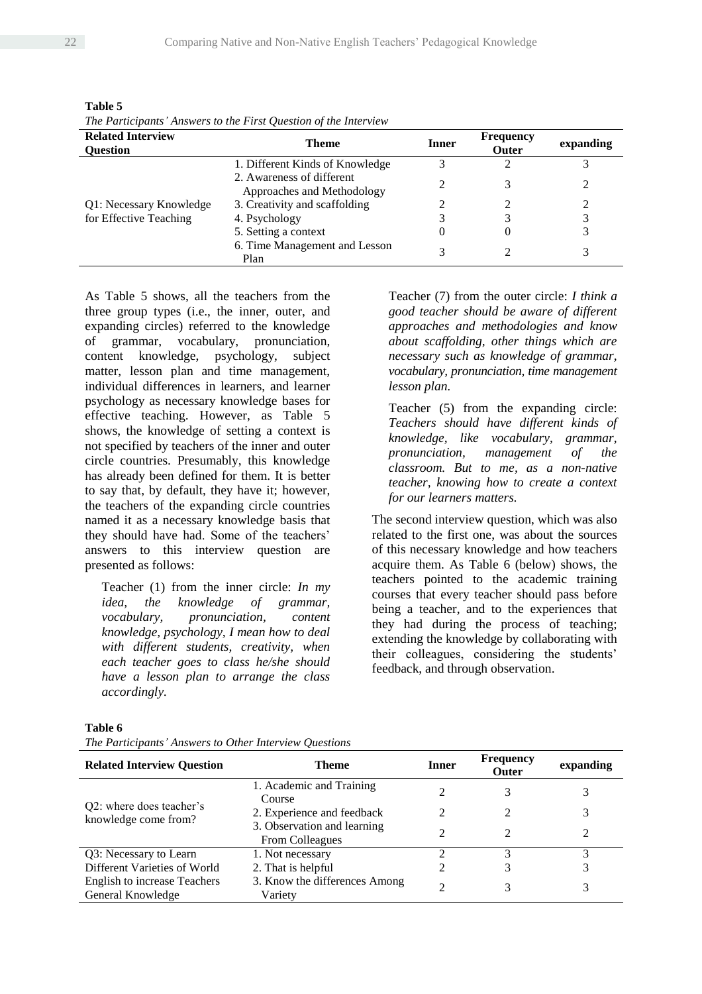| The Furncipants Answers to the First Question of the Interview |                                                         |       |                                  |           |  |  |
|----------------------------------------------------------------|---------------------------------------------------------|-------|----------------------------------|-----------|--|--|
| <b>Related Interview</b><br><b>Ouestion</b>                    | <b>Theme</b>                                            | Inner | <b>Frequency</b><br><b>Outer</b> | expanding |  |  |
|                                                                | 1. Different Kinds of Knowledge                         |       |                                  |           |  |  |
|                                                                | 2. Awareness of different<br>Approaches and Methodology |       |                                  |           |  |  |
| Q1: Necessary Knowledge                                        | 3. Creativity and scaffolding                           |       |                                  |           |  |  |
| for Effective Teaching                                         | 4. Psychology                                           |       |                                  |           |  |  |
|                                                                | 5. Setting a context                                    |       | O                                |           |  |  |
|                                                                | 6. Time Management and Lesson<br>Plan                   |       |                                  |           |  |  |

**Table 5** *The Participants' Answers to the First Question of the Interview*

As Table 5 shows, all the teachers from the three group types (i.e., the inner, outer, and expanding circles) referred to the knowledge of grammar, vocabulary, pronunciation, content knowledge, psychology, subject matter, lesson plan and time management, individual differences in learners, and learner psychology as necessary knowledge bases for effective teaching. However, as Table 5 shows, the knowledge of setting a context is not specified by teachers of the inner and outer circle countries. Presumably, this knowledge has already been defined for them. It is better to say that, by default, they have it; however, the teachers of the expanding circle countries named it as a necessary knowledge basis that they should have had. Some of the teachers' answers to this interview question are presented as follows:

Teacher (1) from the inner circle: *In my idea, the knowledge of grammar, vocabulary, pronunciation, content knowledge, psychology, I mean how to deal with different students, creativity, when each teacher goes to class he/she should have a lesson plan to arrange the class accordingly.*

Teacher (7) from the outer circle: *I think a good teacher should be aware of different approaches and methodologies and know about scaffolding, other things which are necessary such as knowledge of grammar, vocabulary, pronunciation, time management lesson plan.*

Teacher (5) from the expanding circle: *Teachers should have different kinds of knowledge, like vocabulary, grammar, pronunciation, management of the classroom. But to me, as a non-native teacher, knowing how to create a context for our learners matters.* 

The second interview question, which was also related to the first one, was about the sources of this necessary knowledge and how teachers acquire them. As Table 6 (below) shows, the teachers pointed to the academic training courses that every teacher should pass before being a teacher, and to the experiences that they had during the process of teaching; extending the knowledge by collaborating with their colleagues, considering the students' feedback, and through observation.

*The Participants' Answers to Other Interview Questions*

| <b>Related Interview Question</b>                        | Theme                                                 | Inner | <b>Frequency</b><br><b>Outer</b> | expanding |
|----------------------------------------------------------|-------------------------------------------------------|-------|----------------------------------|-----------|
|                                                          | 1. Academic and Training<br>Course                    |       | 3                                |           |
| Q2: where does teacher's                                 | 2. Experience and feedback                            |       |                                  |           |
| knowledge come from?                                     | 3. Observation and learning<br><b>From Colleagues</b> |       |                                  |           |
| Q3: Necessary to Learn                                   | 1. Not necessary                                      |       |                                  |           |
| Different Varieties of World                             | 2. That is helpful                                    |       |                                  |           |
| <b>English to increase Teachers</b><br>General Knowledge | 3. Know the differences Among<br>Variety              | ∍     | 3                                | 3         |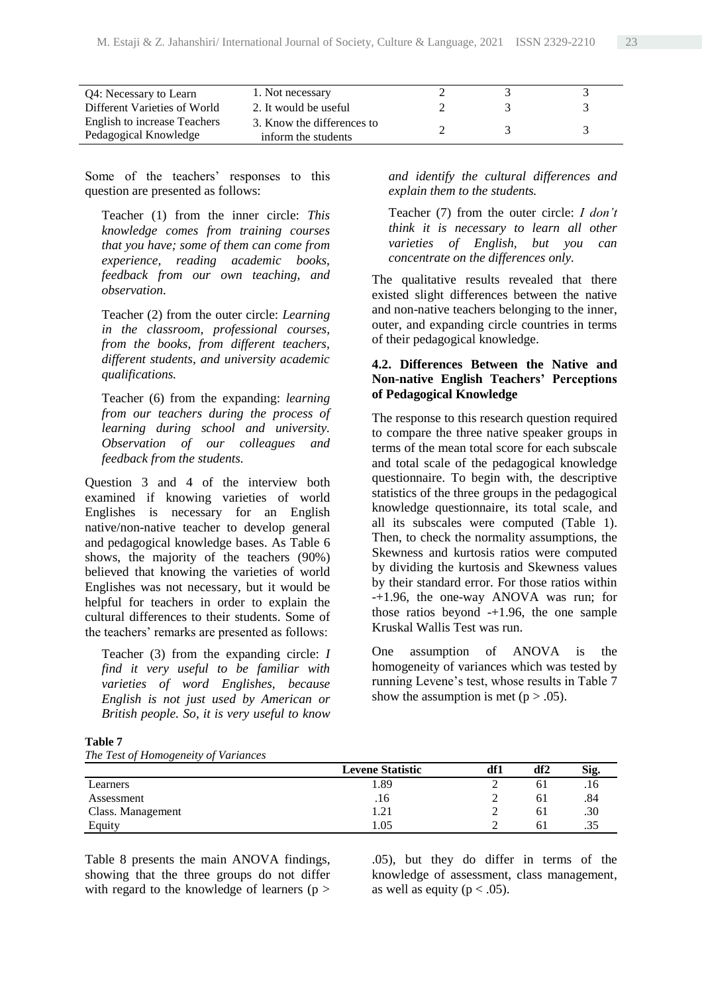| Q4: Necessary to Learn                                | 1. Not necessary                                  |  |  |
|-------------------------------------------------------|---------------------------------------------------|--|--|
| Different Varieties of World                          | 2. It would be useful                             |  |  |
| English to increase Teachers<br>Pedagogical Knowledge | 3. Know the differences to<br>inform the students |  |  |

Some of the teachers' responses to this question are presented as follows:

Teacher (1) from the inner circle: *This knowledge comes from training courses that you have; some of them can come from experience, reading academic books, feedback from our own teaching, and observation.* 

Teacher (2) from the outer circle: *Learning in the classroom, professional courses, from the books, from different teachers, different students, and university academic qualifications.*

Teacher (6) from the expanding: *learning from our teachers during the process of learning during school and university. Observation of our colleagues and feedback from the students.* 

Question 3 and 4 of the interview both examined if knowing varieties of world Englishes is necessary for an English native/non-native teacher to develop general and pedagogical knowledge bases. As Table 6 shows, the majority of the teachers (90%) believed that knowing the varieties of world Englishes was not necessary, but it would be helpful for teachers in order to explain the cultural differences to their students. Some of the teachers' remarks are presented as follows:

Teacher (3) from the expanding circle: *I find it very useful to be familiar with varieties of word Englishes, because English is not just used by American or British people. So, it is very useful to know* 

*and identify the cultural differences and explain them to the students.*

Teacher (7) from the outer circle: *I don't think it is necessary to learn all other varieties of English, but you can concentrate on the differences only.*

The qualitative results revealed that there existed slight differences between the native and non-native teachers belonging to the inner, outer, and expanding circle countries in terms of their pedagogical knowledge.

#### **4.2. Differences Between the Native and Non-native English Teachers' Perceptions of Pedagogical Knowledge**

The response to this research question required to compare the three native speaker groups in terms of the mean total score for each subscale and total scale of the pedagogical knowledge questionnaire. To begin with, the descriptive statistics of the three groups in the pedagogical knowledge questionnaire, its total scale, and all its subscales were computed (Table 1). Then, to check the normality assumptions, the Skewness and kurtosis ratios were computed by dividing the kurtosis and Skewness values by their standard error. For those ratios within -+1.96, the one-way ANOVA was run; for those ratios beyond -+1.96, the one sample Kruskal Wallis Test was run.

One assumption of ANOVA is the homogeneity of variances which was tested by running Levene's test, whose results in Table 7 show the assumption is met ( $p > .05$ ).

| Table 7                              |
|--------------------------------------|
| The Test of Homogeneity of Variances |

|                   | <b>Levene Statistic</b> | df1 | df2 | Sig. |
|-------------------|-------------------------|-----|-----|------|
| Learners          | . 89                    |     | 61  | .10  |
| Assessment        | .16                     |     | 61  | .84  |
| Class. Management | .21                     |     | 61  | .30  |
| Equity            | .05                     |     | 61  | .35  |

Table 8 presents the main ANOVA findings, showing that the three groups do not differ with regard to the knowledge of learners ( $p$  > .05), but they do differ in terms of the knowledge of assessment, class management, as well as equity ( $p < .05$ ).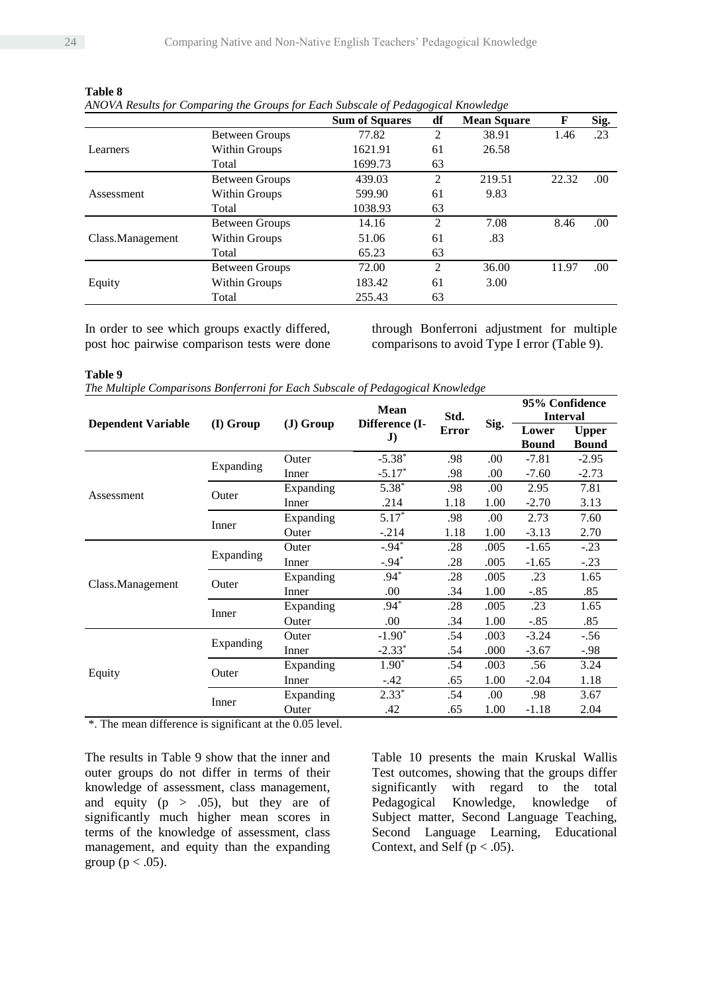|                  |                       | <b>Sum of Squares</b> | df             | <b>Mean Square</b> | F             | Sig. |
|------------------|-----------------------|-----------------------|----------------|--------------------|---------------|------|
|                  | Between Groups        | 77.82                 | 2              | 38.91              | 1.46          | .23  |
| Learners         | Within Groups         | 1621.91               | 61             | 26.58              |               |      |
|                  | Total                 | 1699.73               | 63             |                    |               |      |
| Assessment       | <b>Between Groups</b> | 439.03                | 2              | 219.51             | 22.32         | .00. |
|                  | Within Groups         | 599.90                | 61             | 9.83               |               |      |
|                  | Total                 | 1038.93               | 63             |                    | 8.46<br>11.97 |      |
|                  | <b>Between Groups</b> | 14.16                 | $\overline{2}$ | 7.08               |               | .00. |
| Class.Management | Within Groups         | 51.06                 | 61             | .83                |               |      |
|                  | Total                 | 65.23                 | 63             |                    |               |      |
|                  | <b>Between Groups</b> | 72.00                 | $\overline{2}$ | 36.00              |               | .00. |
| Equity           | Within Groups         | 183.42                | 61             | 3.00               |               |      |
|                  | Total                 | 255.43                | 63             |                    |               |      |

**Table 8**

*ANOVA Results for Comparing the Groups for Each Subscale of Pedagogical Knowledge*

In order to see which groups exactly differed, post hoc pairwise comparison tests were done through Bonferroni adjustment for multiple comparisons to avoid Type I error (Table 9).

**Table 9**

|  |  | The Multiple Comparisons Bonferroni for Each Subscale of Pedagogical Knowledge |  |  |  |  |  |  |  |
|--|--|--------------------------------------------------------------------------------|--|--|--|--|--|--|--|
|--|--|--------------------------------------------------------------------------------|--|--|--|--|--|--|--|

|                           |                |            | <b>Mean</b>                    |              |      | 95% Confidence<br><b>Interval</b> |              |
|---------------------------|----------------|------------|--------------------------------|--------------|------|-----------------------------------|--------------|
|                           | (I) Group      | $J)$ Group |                                | Std.         |      |                                   |              |
| <b>Dependent Variable</b> |                |            | Difference (I-<br>$\mathbf{J}$ | <b>Error</b> | Sig. | Lower                             | <b>Upper</b> |
|                           |                |            |                                |              |      | <b>Bound</b>                      | <b>Bound</b> |
|                           | Expanding      | Outer      | $-5.38$ <sup>*</sup>           | .98          | .00. | $-7.81$                           | $-2.95$      |
|                           |                | Inner      | $-5.17*$                       | .98          | .00. | $-7.60$                           | $-2.73$      |
| Assessment                | Outer          | Expanding  | $5.38*$                        | .98          | .00. | 2.95                              | 7.81         |
|                           |                | Inner      | .214                           | 1.18         | 1.00 | $-2.70$                           | 3.13         |
|                           | Inner          | Expanding  | $5.17*$                        | .98          | .00. | 2.73                              | 7.60         |
|                           |                | Outer      | $-.214$                        | 1.18         | 1.00 | $-3.13$                           | 2.70         |
|                           | Expanding      | Outer      | $-.94*$                        | .28          | .005 | $-1.65$                           | $-.23$       |
|                           |                | Inner      | $-.94*$                        | .28          | .005 | $-1.65$                           | $-.23$       |
|                           | Outer<br>Inner | Expanding  | $.94*$                         | .28          | .005 | .23                               | 1.65         |
| Class.Management          |                | Inner      | .00                            | .34          | 1.00 | $-.85$                            | .85          |
|                           |                | Expanding  | $.94^{\frac{1}{2}}$            | .28          | .005 | .23                               | 1.65         |
|                           |                | Outer      | .00.                           | .34          | 1.00 | $-.85$                            | .85          |
|                           | Expanding      | Outer      | $-1.90^*$                      | .54          | .003 | $-3.24$                           | $-.56$       |
|                           |                | Inner      | $-2.33*$                       | .54          | .000 | $-3.67$                           | $-.98$       |
|                           |                | Expanding  | $1.90*$                        | .54          | .003 | .56                               | 3.24         |
| Equity                    | Outer          | Inner      | $-.42$                         | .65          | 1.00 | $-2.04$                           | 1.18         |
|                           |                | Expanding  | $2.33*$                        | .54          | .00  | .98                               | 3.67         |
|                           | Inner          | Outer      | .42                            | .65          | 1.00 | $-1.18$                           | 2.04         |

\*. The mean difference is significant at the 0.05 level.

The results in Table 9 show that the inner and outer groups do not differ in terms of their knowledge of assessment, class management, and equity  $(p > .05)$ , but they are of significantly much higher mean scores in terms of the knowledge of assessment, class management, and equity than the expanding group ( $p < .05$ ).

Table 10 presents the main Kruskal Wallis Test outcomes, showing that the groups differ significantly with regard to the total Pedagogical Knowledge, knowledge of Subject matter, Second Language Teaching, Second Language Learning, Educational Context, and Self ( $p < .05$ ).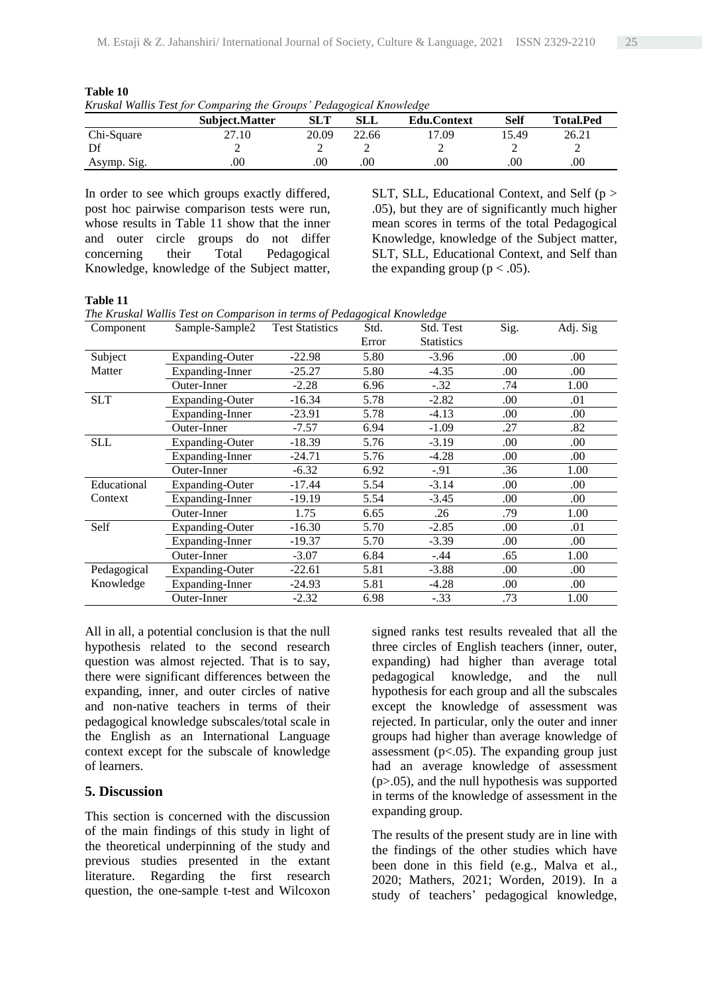| Introduct tradition for comparing the Groups Teaugoglear Knowledge |                       |            |       |                    |      |                  |  |  |
|--------------------------------------------------------------------|-----------------------|------------|-------|--------------------|------|------------------|--|--|
|                                                                    | <b>Subject.Matter</b> | <b>SLT</b> | SLL   | <b>Edu.Context</b> | Self | <b>Total.Ped</b> |  |  |
| Chi-Square                                                         | 27.10                 | 20.09      | 22.66 | 7.09               | 5.49 | 26.21            |  |  |
| Df                                                                 |                       |            |       |                    |      |                  |  |  |
| Asymp. Sig.                                                        | .00                   | .00        | .00   | .00                |      | .00              |  |  |

**Table 10** *Kruskal Wallis Test for Comparing the Groups' Pedagogical Knowledge*

In order to see which groups exactly differed, post hoc pairwise comparison tests were run, whose results in Table 11 show that the inner and outer circle groups do not differ<br>concerning their Total Pedagogical concerning their Total Pedagogical Knowledge, knowledge of the Subject matter,

SLT, SLL, Educational Context, and Self ( $p >$ .05), but they are of significantly much higher mean scores in terms of the total Pedagogical Knowledge, knowledge of the Subject matter, SLT, SLL, Educational Context, and Self than the expanding group ( $p < .05$ ).

#### **Table 11**

*The Kruskal Wallis Test on Comparison in terms of Pedagogical Knowledge*

| Component   | Sample-Sample2         | <b>Test Statistics</b> | Std.  | Std. Test         | Sig. | Adj. Sig |
|-------------|------------------------|------------------------|-------|-------------------|------|----------|
|             |                        |                        | Error | <b>Statistics</b> |      |          |
| Subject     | <b>Expanding-Outer</b> | $-22.98$               | 5.80  | $-3.96$           | .00. | .00.     |
| Matter      | Expanding-Inner        | $-25.27$               | 5.80  | $-4.35$           | .00  | .00.     |
|             | Outer-Inner            | $-2.28$                | 6.96  | $-.32$            | .74  | 1.00     |
| <b>SLT</b>  | <b>Expanding-Outer</b> | $-16.34$               | 5.78  | $-2.82$           | .00  | .01      |
|             | Expanding-Inner        | $-23.91$               | 5.78  | $-4.13$           | .00  | .00.     |
|             | Outer-Inner            | $-7.57$                | 6.94  | $-1.09$           | .27  | .82      |
| <b>SLL</b>  | <b>Expanding-Outer</b> | $-18.39$               | 5.76  | $-3.19$           | .00. | .00.     |
|             | Expanding-Inner        | $-24.71$               | 5.76  | $-4.28$           | .00. | .00.     |
|             | Outer-Inner            | $-6.32$                | 6.92  | $-.91$            | .36  | 1.00     |
| Educational | <b>Expanding-Outer</b> | $-17.44$               | 5.54  | $-3.14$           | .00. | .00.     |
| Context     | Expanding-Inner        | $-19.19$               | 5.54  | $-3.45$           | .00. | .00.     |
|             | Outer-Inner            | 1.75                   | 6.65  | .26               | .79  | 1.00     |
| Self        | Expanding-Outer        | $-16.30$               | 5.70  | $-2.85$           | .00. | .01      |
|             | Expanding-Inner        | $-19.37$               | 5.70  | $-3.39$           | .00  | .00      |
|             | Outer-Inner            | $-3.07$                | 6.84  | $-.44$            | .65  | 1.00     |
| Pedagogical | Expanding-Outer        | $-22.61$               | 5.81  | $-3.88$           | .00  | .00.     |
| Knowledge   | Expanding-Inner        | $-24.93$               | 5.81  | $-4.28$           | .00. | .00.     |
|             | Outer-Inner            | $-2.32$                | 6.98  | $-.33$            | .73  | 1.00     |

All in all, a potential conclusion is that the null hypothesis related to the second research question was almost rejected. That is to say, there were significant differences between the expanding, inner, and outer circles of native and non-native teachers in terms of their pedagogical knowledge subscales/total scale in the English as an International Language context except for the subscale of knowledge of learners.

#### **5. Discussion**

This section is concerned with the discussion of the main findings of this study in light of the theoretical underpinning of the study and previous studies presented in the extant literature. Regarding the first research question, the one-sample t-test and Wilcoxon

signed ranks test results revealed that all the three circles of English teachers (inner, outer, expanding) had higher than average total pedagogical knowledge, and the null hypothesis for each group and all the subscales except the knowledge of assessment was rejected. In particular, only the outer and inner groups had higher than average knowledge of assessment ( $p<.05$ ). The expanding group just had an average knowledge of assessment (p>.05), and the null hypothesis was supported in terms of the knowledge of assessment in the expanding group.

The results of the present study are in line with the findings of the other studies which have been done in this field (e.g., Malva et al., 2020; Mathers, 2021; Worden, 2019). In a study of teachers' pedagogical knowledge,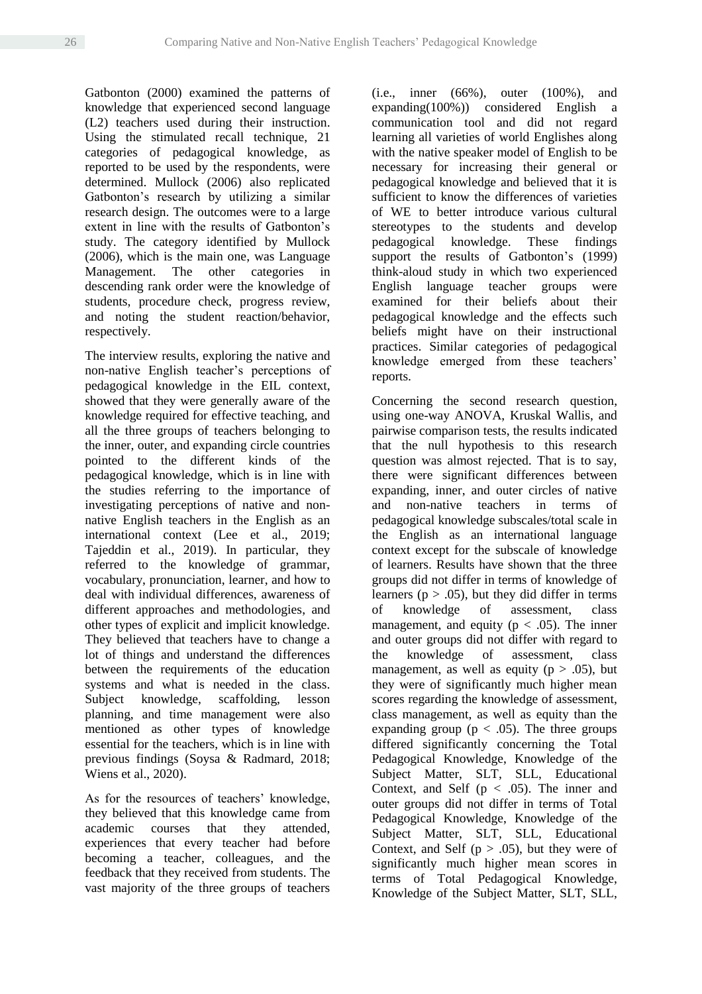Gatbonton (2000) examined the patterns of knowledge that experienced second language (L2) teachers used during their instruction. Using the stimulated recall technique, 21 categories of pedagogical knowledge, as reported to be used by the respondents, were determined. Mullock (2006) also replicated Gatbonton's research by utilizing a similar research design. The outcomes were to a large extent in line with the results of Gatbonton's study. The category identified by Mullock (2006), which is the main one, was Language Management. The other categories in descending rank order were the knowledge of students, procedure check, progress review, and noting the student reaction/behavior, respectively.

The interview results, exploring the native and non-native English teacher's perceptions of pedagogical knowledge in the EIL context, showed that they were generally aware of the knowledge required for effective teaching, and all the three groups of teachers belonging to the inner, outer, and expanding circle countries pointed to the different kinds of the pedagogical knowledge, which is in line with the studies referring to the importance of investigating perceptions of native and nonnative English teachers in the English as an international context (Lee et al., 2019; Tajeddin et al., 2019). In particular, they referred to the knowledge of grammar, vocabulary, pronunciation, learner, and how to deal with individual differences, awareness of different approaches and methodologies, and other types of explicit and implicit knowledge. They believed that teachers have to change a lot of things and understand the differences between the requirements of the education systems and what is needed in the class. Subject knowledge, scaffolding, lesson planning, and time management were also mentioned as other types of knowledge essential for the teachers, which is in line with previous findings (Soysa & Radmard, 2018; Wiens et al., 2020).

As for the resources of teachers' knowledge, they believed that this knowledge came from academic courses that they attended, experiences that every teacher had before becoming a teacher, colleagues, and the feedback that they received from students. The vast majority of the three groups of teachers

(i.e., inner (66%), outer (100%), and expanding(100%)) considered English a communication tool and did not regard learning all varieties of world Englishes along with the native speaker model of English to be necessary for increasing their general or pedagogical knowledge and believed that it is sufficient to know the differences of varieties of WE to better introduce various cultural stereotypes to the students and develop pedagogical knowledge. These findings support the results of Gatbonton's (1999) think-aloud study in which two experienced English language teacher groups were examined for their beliefs about their pedagogical knowledge and the effects such beliefs might have on their instructional practices. Similar categories of pedagogical knowledge emerged from these teachers' reports.

Concerning the second research question, using one-way ANOVA, Kruskal Wallis, and pairwise comparison tests, the results indicated that the null hypothesis to this research question was almost rejected. That is to say, there were significant differences between expanding, inner, and outer circles of native and non-native teachers in terms of pedagogical knowledge subscales/total scale in the English as an international language context except for the subscale of knowledge of learners. Results have shown that the three groups did not differ in terms of knowledge of learners ( $p > .05$ ), but they did differ in terms of knowledge of assessment, class management, and equity ( $p < .05$ ). The inner and outer groups did not differ with regard to the knowledge of assessment, class management, as well as equity ( $p > .05$ ), but they were of significantly much higher mean scores regarding the knowledge of assessment, class management, as well as equity than the expanding group ( $p < .05$ ). The three groups differed significantly concerning the Total Pedagogical Knowledge, Knowledge of the Subject Matter, SLT, SLL, Educational Context, and Self ( $p < .05$ ). The inner and outer groups did not differ in terms of Total Pedagogical Knowledge, Knowledge of the Subject Matter, SLT, SLL, Educational Context, and Self ( $p > .05$ ), but they were of significantly much higher mean scores in terms of Total Pedagogical Knowledge, Knowledge of the Subject Matter, SLT, SLL,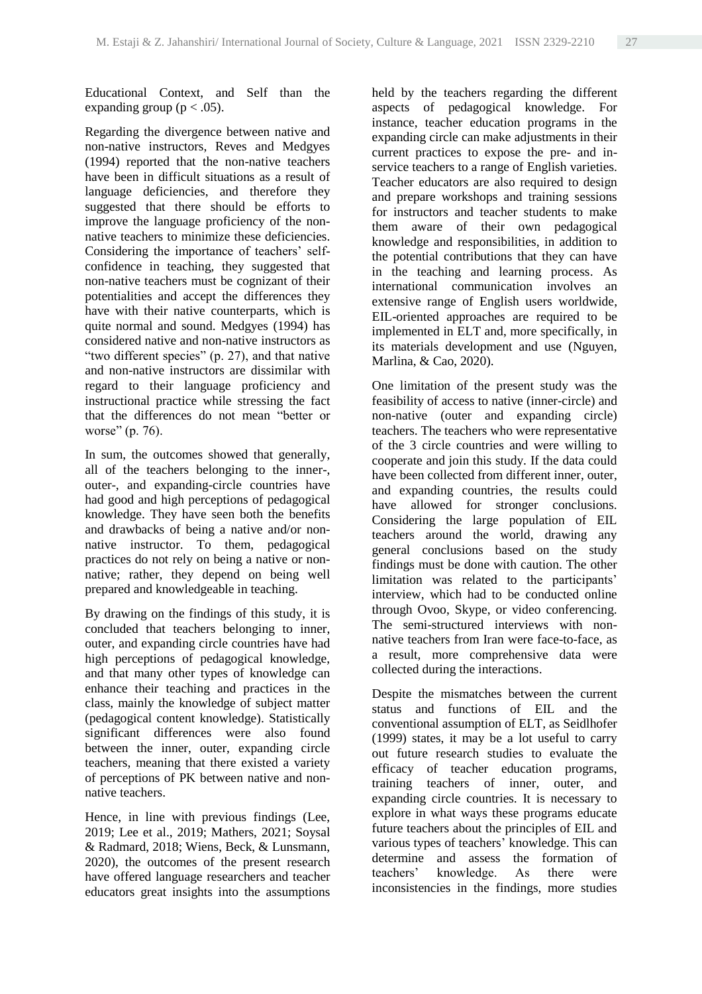Educational Context, and Self than the expanding group ( $p < .05$ ).

Regarding the divergence between native and non-native instructors, Reves and Medgyes (1994) reported that the non-native teachers have been in difficult situations as a result of language deficiencies, and therefore they suggested that there should be efforts to improve the language proficiency of the nonnative teachers to minimize these deficiencies. Considering the importance of teachers' selfconfidence in teaching, they suggested that non-native teachers must be cognizant of their potentialities and accept the differences they have with their native counterparts, which is quite normal and sound. Medgyes (1994) has considered native and non-native instructors as "two different species" (p. 27), and that native and non-native instructors are dissimilar with regard to their language proficiency and instructional practice while stressing the fact that the differences do not mean "better or worse" (p. 76).

In sum, the outcomes showed that generally, all of the teachers belonging to the inner-, outer-, and expanding-circle countries have had good and high perceptions of pedagogical knowledge. They have seen both the benefits and drawbacks of being a native and/or nonnative instructor. To them, pedagogical practices do not rely on being a native or nonnative; rather, they depend on being well prepared and knowledgeable in teaching.

By drawing on the findings of this study, it is concluded that teachers belonging to inner, outer, and expanding circle countries have had high perceptions of pedagogical knowledge, and that many other types of knowledge can enhance their teaching and practices in the class, mainly the knowledge of subject matter (pedagogical content knowledge). Statistically significant differences were also found between the inner, outer, expanding circle teachers, meaning that there existed a variety of perceptions of PK between native and nonnative teachers.

Hence, in line with previous findings (Lee, 2019; Lee et al., 2019; Mathers, 2021; Soysal & Radmard, 2018; Wiens, Beck, & Lunsmann, 2020), the outcomes of the present research have offered language researchers and teacher educators great insights into the assumptions

held by the teachers regarding the different aspects of pedagogical knowledge. For instance, teacher education programs in the expanding circle can make adjustments in their current practices to expose the pre- and inservice teachers to a range of English varieties. Teacher educators are also required to design and prepare workshops and training sessions for instructors and teacher students to make them aware of their own pedagogical knowledge and responsibilities, in addition to the potential contributions that they can have in the teaching and learning process. As international communication involves an extensive range of English users worldwide, EIL-oriented approaches are required to be implemented in ELT and, more specifically, in its materials development and use (Nguyen, Marlina, & Cao, 2020).

One limitation of the present study was the feasibility of access to native (inner-circle) and non-native (outer and expanding circle) teachers. The teachers who were representative of the 3 circle countries and were willing to cooperate and join this study. If the data could have been collected from different inner, outer, and expanding countries, the results could have allowed for stronger conclusions. Considering the large population of EIL teachers around the world, drawing any general conclusions based on the study findings must be done with caution. The other limitation was related to the participants' interview, which had to be conducted online through Ovoo, Skype, or video conferencing. The semi-structured interviews with nonnative teachers from Iran were face-to-face, as a result, more comprehensive data were collected during the interactions.

Despite the mismatches between the current status and functions of EIL and the conventional assumption of ELT, as Seidlhofer (1999) states, it may be a lot useful to carry out future research studies to evaluate the efficacy of teacher education programs, training teachers of inner, outer, and expanding circle countries. It is necessary to explore in what ways these programs educate future teachers about the principles of EIL and various types of teachers' knowledge. This can determine and assess the formation of teachers' knowledge. As there were inconsistencies in the findings, more studies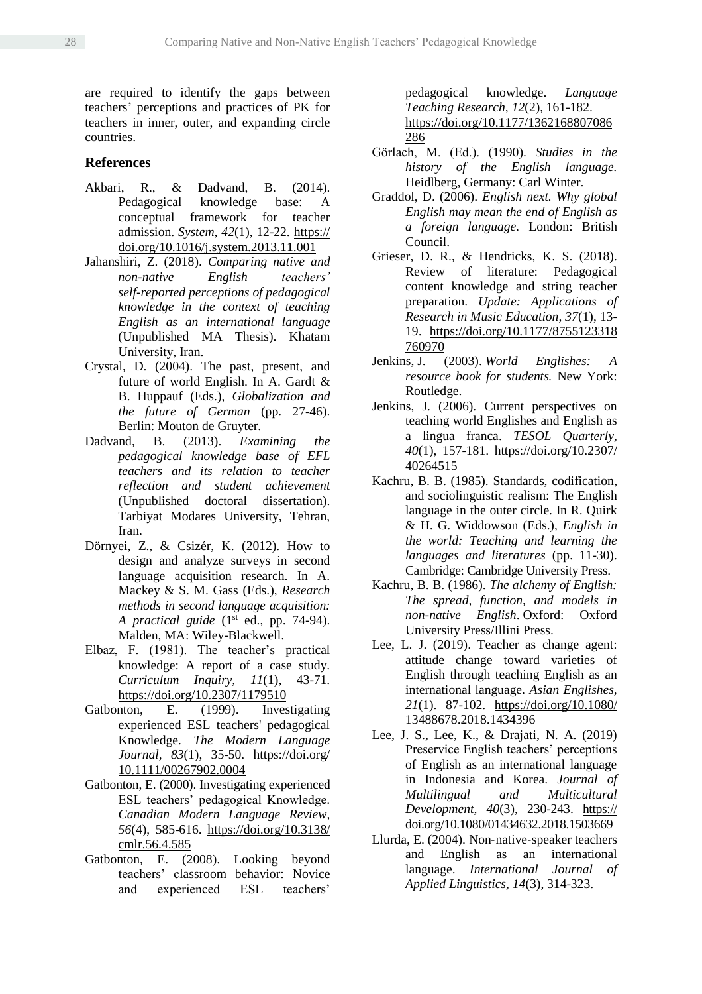are required to identify the gaps between teachers' perceptions and practices of PK for teachers in inner, outer, and expanding circle countries.

## **References**

- Akbari, R., & Dadvand, B. (2014). Pedagogical knowledge base: A conceptual framework for teacher admission. *System*, *42*(1), 12-22. https:// doi.org/10.1016/j.system.2013.11.001
- Jahanshiri, Z. (2018). *Comparing native and non-native English teachers' self-reported perceptions of pedagogical knowledge in the context of teaching English as an international language* (Unpublished MA Thesis). Khatam University, Iran.
- Crystal, D. (2004). The past, present, and future of world English. In A. Gardt & B. Huppauf (Eds.), *Globalization and the future of German* (pp. 27-46). Berlin: Mouton de Gruyter.
- Dadvand, B. (2013). *Examining the pedagogical knowledge base of EFL teachers and its relation to teacher reflection and student achievement*  (Unpublished doctoral dissertation). Tarbiyat Modares University, Tehran, Iran.
- Dörnyei, Z., & Csizér, K. (2012). How to design and analyze surveys in second language acquisition research. In A. Mackey & S. M. Gass (Eds.), *Research methods in second language acquisition: A practical guide* (1st ed., pp. 74-94). Malden, MA: Wiley-Blackwell.
- Elbaz, F. (1981). The teacher's practical knowledge: A report of a case study. *Curriculum Inquiry, 11*(1), 43-71. <https://doi.org/10.2307/1179510>
- Gatbonton, E. (1999). Investigating experienced ESL teachers' pedagogical Knowledge. *The Modern Language Journal, 83*(1), 35-50. [https://doi.org/](https://doi.org/%2010.1111/00267902.0004)  [10.1111/00267902.0004](https://doi.org/%2010.1111/00267902.0004)
- Gatbonton, E. (2000). Investigating experienced ESL teachers' pedagogical Knowledge. *Canadian Modern Language Review, 56*(4), 585-616. [https://doi.org/10.3138/](https://doi.org/10.3138/%20cmlr.56.4.585)  [cmlr.56.4.585](https://doi.org/10.3138/%20cmlr.56.4.585)
- Gatbonton, E. (2008). Looking beyond teachers' classroom behavior: Novice and experienced ESL teachers'

pedagogical knowledge. *Language Teaching Research, 12*(2), 161-182. [https://doi.org/10.1177/1362168807086](https://doi.org/10.1177/1362168807086286) [286](https://doi.org/10.1177/1362168807086286)

- Görlach, M. (Ed.). (1990). *Studies in the history of the English language.*  Heidlberg, Germany: Carl Winter.
- Graddol, D. (2006). *English next. Why global English may mean the end of English as a foreign language.* London: British Council.
- Grieser, D. R., & Hendricks, K. S. (2018). Review of literature: Pedagogical content knowledge and string teacher preparation. *Update: Applications of Research in Music Education, 37*(1), 13- 19. [https://doi.org/10.1177/8755123318](https://doi.org/10.1177/8755123318%20760970)  [760970](https://doi.org/10.1177/8755123318%20760970)
- Jenkins, J. (2003). *World Englishes: A resource book for students.* New York: Routledge.
- Jenkins, J. (2006). Current perspectives on teaching world Englishes and English as a lingua franca. *TESOL Quarterly, 40*(1), 157-181. [https://doi.org/10.2307/](https://doi.org/10.2307/%2040264515)  [40264515](https://doi.org/10.2307/%2040264515)
- Kachru, B. B. (1985). Standards, codification, and sociolinguistic realism: The English language in the outer circle. In R. Quirk & H. G. Widdowson (Eds.), *English in the world: Teaching and learning the languages and literatures* (pp. 11-30). Cambridge: Cambridge University Press.
- Kachru, B. B. (1986). *The alchemy of English: The spread, function, and models in non-native English*. Oxford: Oxford University Press/Illini Press.
- Lee, L. J. (2019). Teacher as change agent: attitude change toward varieties of English through teaching English as an international language. *Asian Englishes, 21*(1). 87-102. [https://doi.org/10.1080/](https://doi.org/10.1080/%2013488678.2018.1434396)  [13488678.2018.1434396](https://doi.org/10.1080/%2013488678.2018.1434396)
- Lee, J. S., Lee, K., & Drajati, N. A. (2019) Preservice English teachers' perceptions of English as an international language in Indonesia and Korea. *Journal of Multilingual and Multicultural Development, 40*(3), 230-243. https:// doi.org/10.1080/01434632.2018.1503669
- Llurda, E. (2004). Non‐native‐speaker teachers and English as an international language. *International Journal of Applied Linguistics, 14*(3), 314-323.